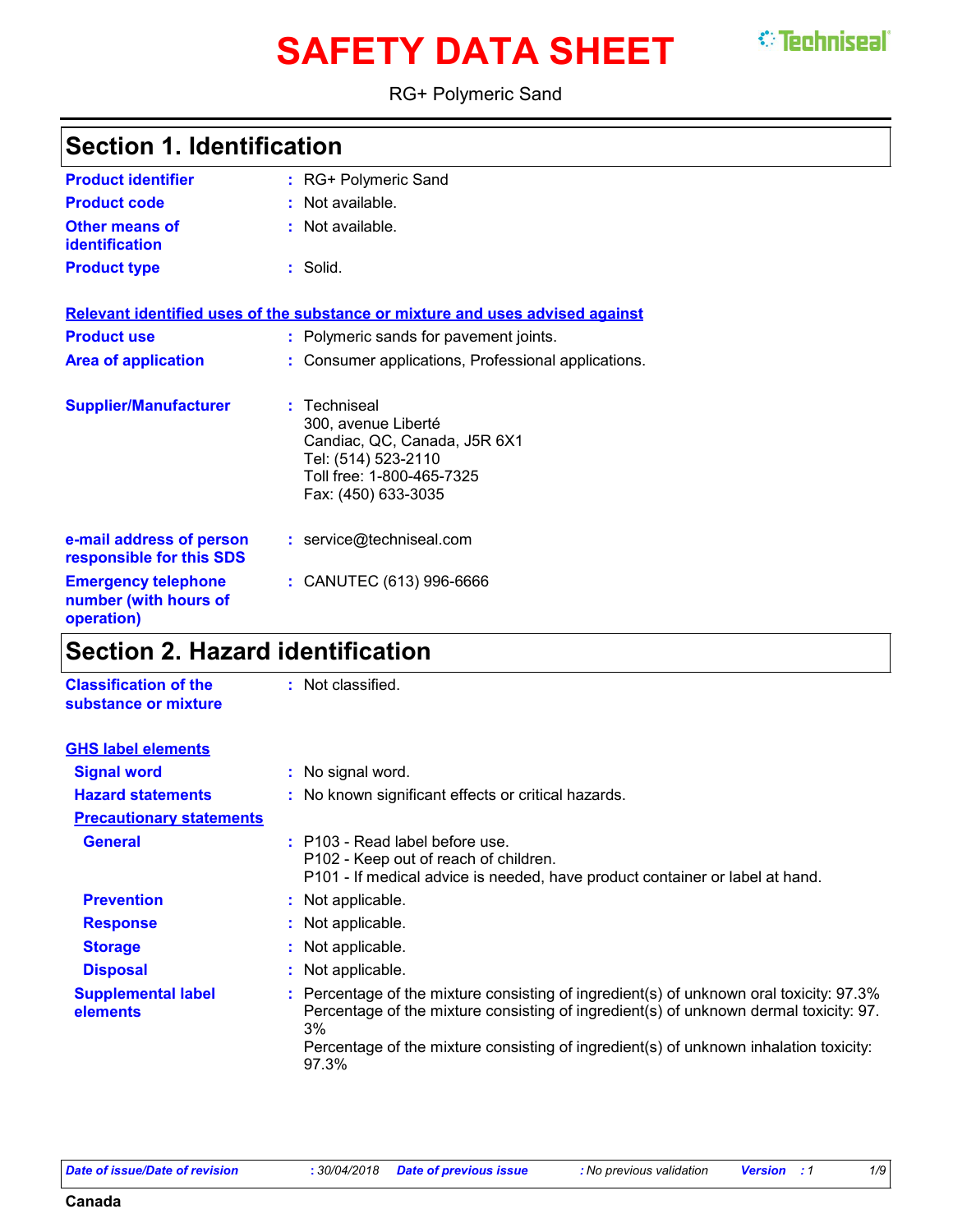# **SAFETY DATA SHEET** STEELINGERI

#### RG+ Polymeric Sand

| <b>Product identifier</b>                                         | : RG+ Polymeric Sand                                                                                                                         |
|-------------------------------------------------------------------|----------------------------------------------------------------------------------------------------------------------------------------------|
| <b>Product code</b>                                               | : Not available.                                                                                                                             |
| <b>Other means of</b><br><b>identification</b>                    | $:$ Not available.                                                                                                                           |
| <b>Product type</b>                                               | : Solid.                                                                                                                                     |
|                                                                   | Relevant identified uses of the substance or mixture and uses advised against                                                                |
| <b>Product use</b>                                                | : Polymeric sands for pavement joints.                                                                                                       |
| <b>Area of application</b>                                        | : Consumer applications, Professional applications.                                                                                          |
| <b>Supplier/Manufacturer</b>                                      | Techniseal<br>300, avenue Liberté<br>Candiac, QC, Canada, J5R 6X1<br>Tel: (514) 523-2110<br>Toll free: 1-800-465-7325<br>Fax: (450) 633-3035 |
| e-mail address of person<br>responsible for this SDS              | : service@techniseal.com                                                                                                                     |
| <b>Emergency telephone</b><br>number (with hours of<br>operation) | : CANUTEC (613) 996-6666                                                                                                                     |

### **Section 2. Hazard identification**

| : Not classified.                                                                                                                                                                                                                                                                        |
|------------------------------------------------------------------------------------------------------------------------------------------------------------------------------------------------------------------------------------------------------------------------------------------|
|                                                                                                                                                                                                                                                                                          |
| : No signal word.                                                                                                                                                                                                                                                                        |
| : No known significant effects or critical hazards.                                                                                                                                                                                                                                      |
|                                                                                                                                                                                                                                                                                          |
| : P103 - Read label before use.<br>P102 - Keep out of reach of children.<br>P101 - If medical advice is needed, have product container or label at hand.                                                                                                                                 |
| : Not applicable.                                                                                                                                                                                                                                                                        |
| : Not applicable.                                                                                                                                                                                                                                                                        |
| : Not applicable.                                                                                                                                                                                                                                                                        |
| : Not applicable.                                                                                                                                                                                                                                                                        |
| : Percentage of the mixture consisting of ingredient(s) of unknown oral toxicity: 97.3%<br>Percentage of the mixture consisting of ingredient(s) of unknown dermal toxicity: 97.<br>3%<br>Percentage of the mixture consisting of ingredient(s) of unknown inhalation toxicity:<br>97.3% |
|                                                                                                                                                                                                                                                                                          |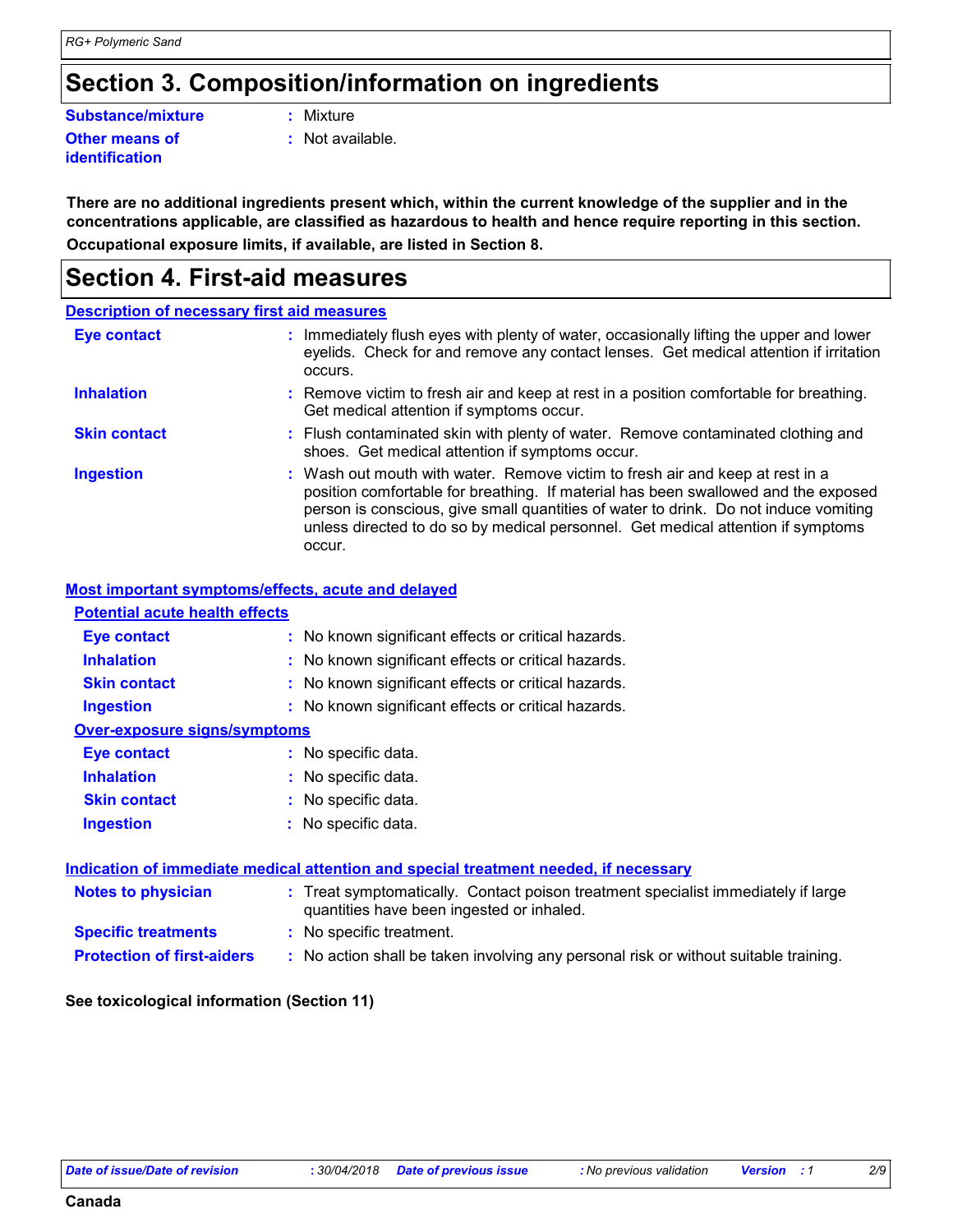### **Section 3. Composition/information on ingredients**

#### **Substance/mixture :**

Mixture

**Other means of identification**

**:** Not available.

**Occupational exposure limits, if available, are listed in Section 8. There are no additional ingredients present which, within the current knowledge of the supplier and in the concentrations applicable, are classified as hazardous to health and hence require reporting in this section.**

### **Section 4. First-aid measures**

#### **Description of necessary first aid measures**

| <b>Eye contact</b>  | : Immediately flush eyes with plenty of water, occasionally lifting the upper and lower<br>eyelids. Check for and remove any contact lenses. Get medical attention if irritation<br>occurs.                                                                                                                                                               |
|---------------------|-----------------------------------------------------------------------------------------------------------------------------------------------------------------------------------------------------------------------------------------------------------------------------------------------------------------------------------------------------------|
| <b>Inhalation</b>   | : Remove victim to fresh air and keep at rest in a position comfortable for breathing.<br>Get medical attention if symptoms occur.                                                                                                                                                                                                                        |
| <b>Skin contact</b> | : Flush contaminated skin with plenty of water. Remove contaminated clothing and<br>shoes. Get medical attention if symptoms occur.                                                                                                                                                                                                                       |
| <b>Ingestion</b>    | : Wash out mouth with water. Remove victim to fresh air and keep at rest in a<br>position comfortable for breathing. If material has been swallowed and the exposed<br>person is conscious, give small quantities of water to drink. Do not induce vomiting<br>unless directed to do so by medical personnel. Get medical attention if symptoms<br>occur. |

#### **Most important symptoms/effects, acute and delayed**

| <b>Potential acute health effects</b>                                                |                                                                                                                                |  |
|--------------------------------------------------------------------------------------|--------------------------------------------------------------------------------------------------------------------------------|--|
| <b>Eye contact</b>                                                                   | : No known significant effects or critical hazards.                                                                            |  |
| <b>Inhalation</b>                                                                    | : No known significant effects or critical hazards.                                                                            |  |
| <b>Skin contact</b>                                                                  | : No known significant effects or critical hazards.                                                                            |  |
| <b>Ingestion</b>                                                                     | : No known significant effects or critical hazards.                                                                            |  |
| <b>Over-exposure signs/symptoms</b>                                                  |                                                                                                                                |  |
| <b>Eye contact</b>                                                                   | : No specific data.                                                                                                            |  |
| <b>Inhalation</b>                                                                    | : No specific data.                                                                                                            |  |
| <b>Skin contact</b>                                                                  | : No specific data.                                                                                                            |  |
| <b>Ingestion</b>                                                                     | : No specific data.                                                                                                            |  |
| Indication of immediate medical attention and special treatment needed, if necessary |                                                                                                                                |  |
| <b>Notes to physician</b>                                                            | : Treat symptomatically. Contact poison treatment specialist immediately if large<br>quantities have been ingested or inhaled. |  |
| <b>Specific treatments</b>                                                           | : No specific treatment.                                                                                                       |  |

**Protection of first-aiders :** No action shall be taken involving any personal risk or without suitable training.

#### **See toxicological information (Section 11)**

**Canada**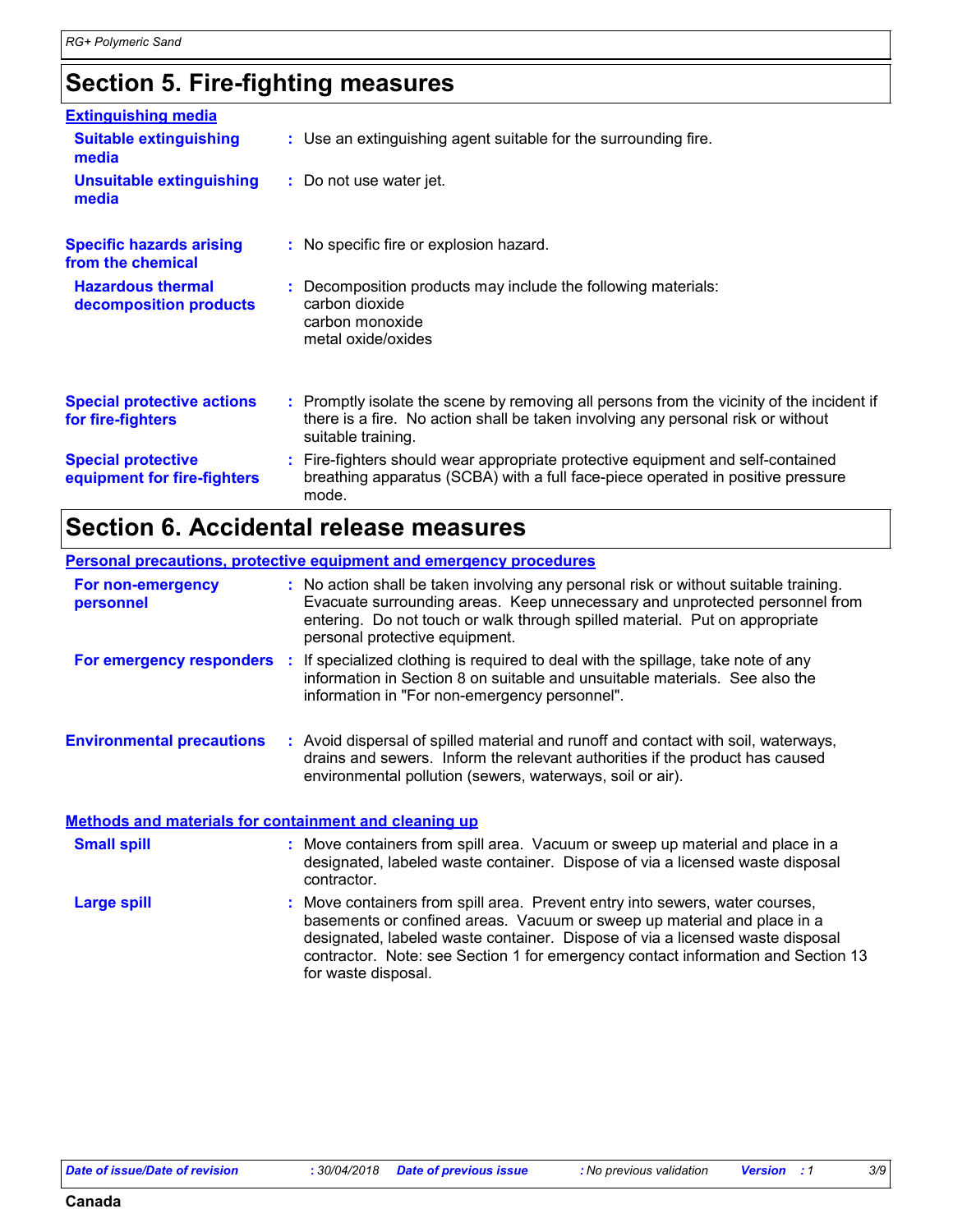## **Section 5. Fire-fighting measures**

| <b>Extinguishing media</b>                               |                                                                                                                                                                                                     |
|----------------------------------------------------------|-----------------------------------------------------------------------------------------------------------------------------------------------------------------------------------------------------|
| <b>Suitable extinguishing</b><br>media                   | : Use an extinguishing agent suitable for the surrounding fire.                                                                                                                                     |
| <b>Unsuitable extinguishing</b><br>media                 | : Do not use water jet.                                                                                                                                                                             |
| <b>Specific hazards arising</b><br>from the chemical     | : No specific fire or explosion hazard.                                                                                                                                                             |
| <b>Hazardous thermal</b><br>decomposition products       | : Decomposition products may include the following materials:<br>carbon dioxide<br>carbon monoxide<br>metal oxide/oxides                                                                            |
| <b>Special protective actions</b><br>for fire-fighters   | : Promptly isolate the scene by removing all persons from the vicinity of the incident if<br>there is a fire. No action shall be taken involving any personal risk or without<br>suitable training. |
| <b>Special protective</b><br>equipment for fire-fighters | : Fire-fighters should wear appropriate protective equipment and self-contained<br>breathing apparatus (SCBA) with a full face-piece operated in positive pressure<br>mode.                         |

### **Section 6. Accidental release measures**

|                                                              | <b>Personal precautions, protective equipment and emergency procedures</b>                                                                                                                                                                                                                                                                          |
|--------------------------------------------------------------|-----------------------------------------------------------------------------------------------------------------------------------------------------------------------------------------------------------------------------------------------------------------------------------------------------------------------------------------------------|
| For non-emergency<br>personnel                               | : No action shall be taken involving any personal risk or without suitable training.<br>Evacuate surrounding areas. Keep unnecessary and unprotected personnel from<br>entering. Do not touch or walk through spilled material. Put on appropriate<br>personal protective equipment.                                                                |
|                                                              | <b>For emergency responders</b> : If specialized clothing is required to deal with the spillage, take note of any<br>information in Section 8 on suitable and unsuitable materials. See also the<br>information in "For non-emergency personnel".                                                                                                   |
| <b>Environmental precautions</b>                             | : Avoid dispersal of spilled material and runoff and contact with soil, waterways,<br>drains and sewers. Inform the relevant authorities if the product has caused<br>environmental pollution (sewers, waterways, soil or air).                                                                                                                     |
| <b>Methods and materials for containment and cleaning up</b> |                                                                                                                                                                                                                                                                                                                                                     |
| <b>Small spill</b>                                           | : Move containers from spill area. Vacuum or sweep up material and place in a<br>designated, labeled waste container. Dispose of via a licensed waste disposal<br>contractor.                                                                                                                                                                       |
| <b>Large spill</b>                                           | : Move containers from spill area. Prevent entry into sewers, water courses,<br>basements or confined areas. Vacuum or sweep up material and place in a<br>designated, labeled waste container. Dispose of via a licensed waste disposal<br>contractor. Note: see Section 1 for emergency contact information and Section 13<br>for waste disposal. |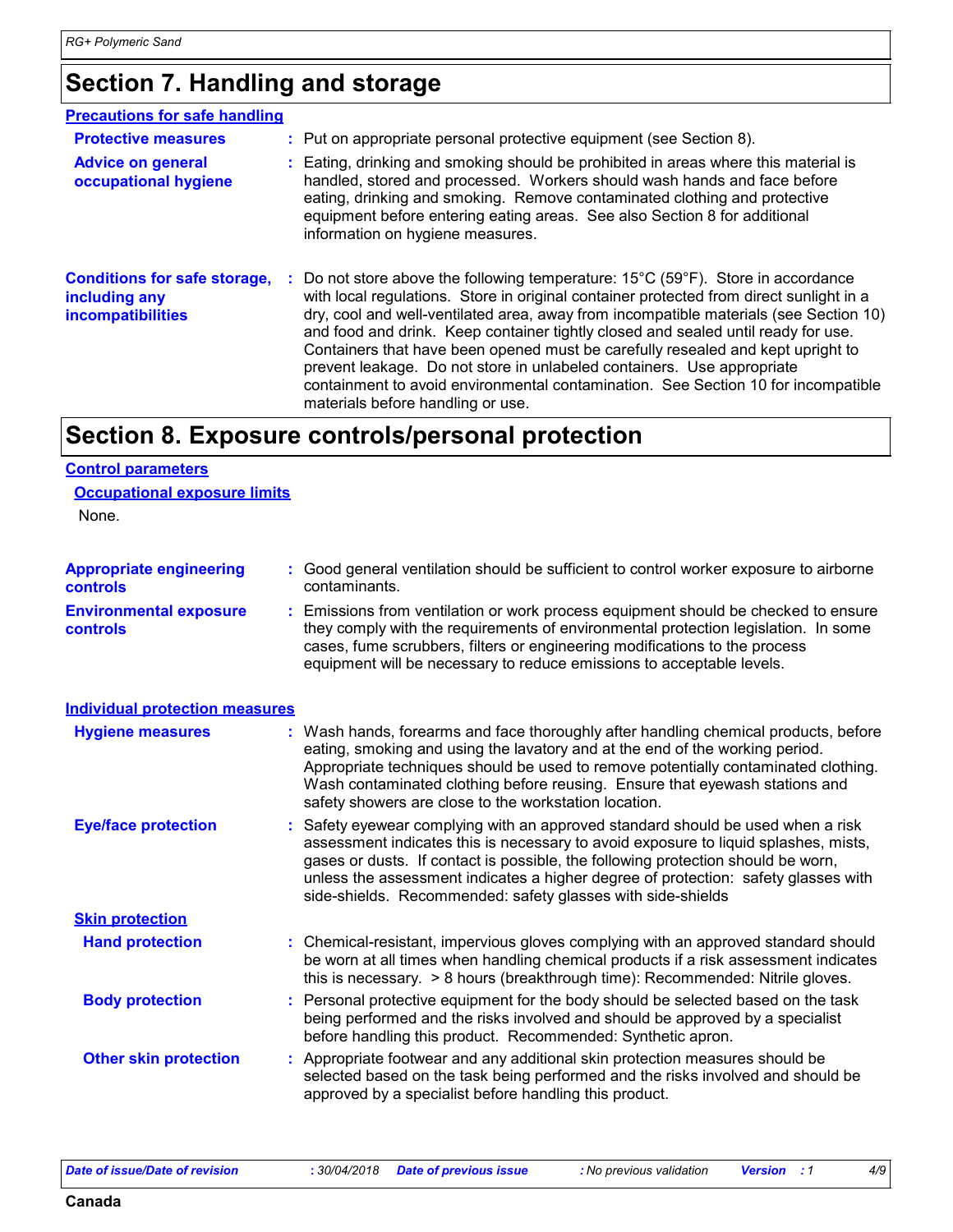### **Section 7. Handling and storage**

| <b>Precautions for safe handling</b>                                             |                                                                                                                                                                                                                                                                                                                                                                                                                                                                                                                                                                                                                                                                       |
|----------------------------------------------------------------------------------|-----------------------------------------------------------------------------------------------------------------------------------------------------------------------------------------------------------------------------------------------------------------------------------------------------------------------------------------------------------------------------------------------------------------------------------------------------------------------------------------------------------------------------------------------------------------------------------------------------------------------------------------------------------------------|
| <b>Protective measures</b>                                                       | : Put on appropriate personal protective equipment (see Section 8).                                                                                                                                                                                                                                                                                                                                                                                                                                                                                                                                                                                                   |
| <b>Advice on general</b><br>occupational hygiene                                 | : Eating, drinking and smoking should be prohibited in areas where this material is<br>handled, stored and processed. Workers should wash hands and face before<br>eating, drinking and smoking. Remove contaminated clothing and protective<br>equipment before entering eating areas. See also Section 8 for additional<br>information on hygiene measures.                                                                                                                                                                                                                                                                                                         |
| <b>Conditions for safe storage,</b><br>including any<br><b>incompatibilities</b> | : Do not store above the following temperature: $15^{\circ}$ C (59 $^{\circ}$ F). Store in accordance<br>with local regulations. Store in original container protected from direct sunlight in a<br>dry, cool and well-ventilated area, away from incompatible materials (see Section 10)<br>and food and drink. Keep container tightly closed and sealed until ready for use.<br>Containers that have been opened must be carefully resealed and kept upright to<br>prevent leakage. Do not store in unlabeled containers. Use appropriate<br>containment to avoid environmental contamination. See Section 10 for incompatible<br>materials before handling or use. |

### **Section 8. Exposure controls/personal protection**

#### **Control parameters**

#### **Occupational exposure limits**

None.

| <b>Appropriate engineering</b>                   | : Good general ventilation should be sufficient to control worker exposure to airborne<br>contaminants.                                                                                                                                                                                                                         |  |
|--------------------------------------------------|---------------------------------------------------------------------------------------------------------------------------------------------------------------------------------------------------------------------------------------------------------------------------------------------------------------------------------|--|
| <b>controls</b>                                  |                                                                                                                                                                                                                                                                                                                                 |  |
| <b>Environmental exposure</b><br><b>controls</b> | : Emissions from ventilation or work process equipment should be checked to ensure<br>they comply with the requirements of environmental protection legislation. In some<br>cases, fume scrubbers, filters or engineering modifications to the process<br>equipment will be necessary to reduce emissions to acceptable levels. |  |
| <b>Individual protection measures</b>            |                                                                                                                                                                                                                                                                                                                                 |  |
| <b>Hygiene measures</b>                          | : Wash hands, forearms and face thoroughly after handling chemical products, before<br>eating, smoking and using the lavatory and at the end of the working period.<br>Appropriate techniques should be used to remove notatially contaminated elething                                                                         |  |

Appropriate techniques should be used to remove potentially contaminated clothing. Wash contaminated clothing before reusing. Ensure that eyewash stations and safety showers are close to the workstation location.

Safety eyewear complying with an approved standard should be used when a risk **:** assessment indicates this is necessary to avoid exposure to liquid splashes, mists, gases or dusts. If contact is possible, the following protection should be worn, unless the assessment indicates a higher degree of protection: safety glasses with side-shields. Recommended: safety glasses with side-shields **Eye/face protection**

| <b>Hand protection</b> | : Chemical-resistant, impervious gloves complying with an approved standard should  |
|------------------------|-------------------------------------------------------------------------------------|
|                        | be worn at all times when handling chemical products if a risk assessment indicates |
|                        | this is necessary. > 8 hours (breakthrough time): Recommended: Nitrile gloves.      |

**Body protection** : Personal protective equipment for the body should be selected based on the task being performed and the risks involved and should be approved by a specialist before handling this product. Recommended: Synthetic apron.

**Other skin protection :** Appropriate footwear and any additional skin protection measures should be selected based on the task being performed and the risks involved and should be approved by a specialist before handling this product.

**Skin protection**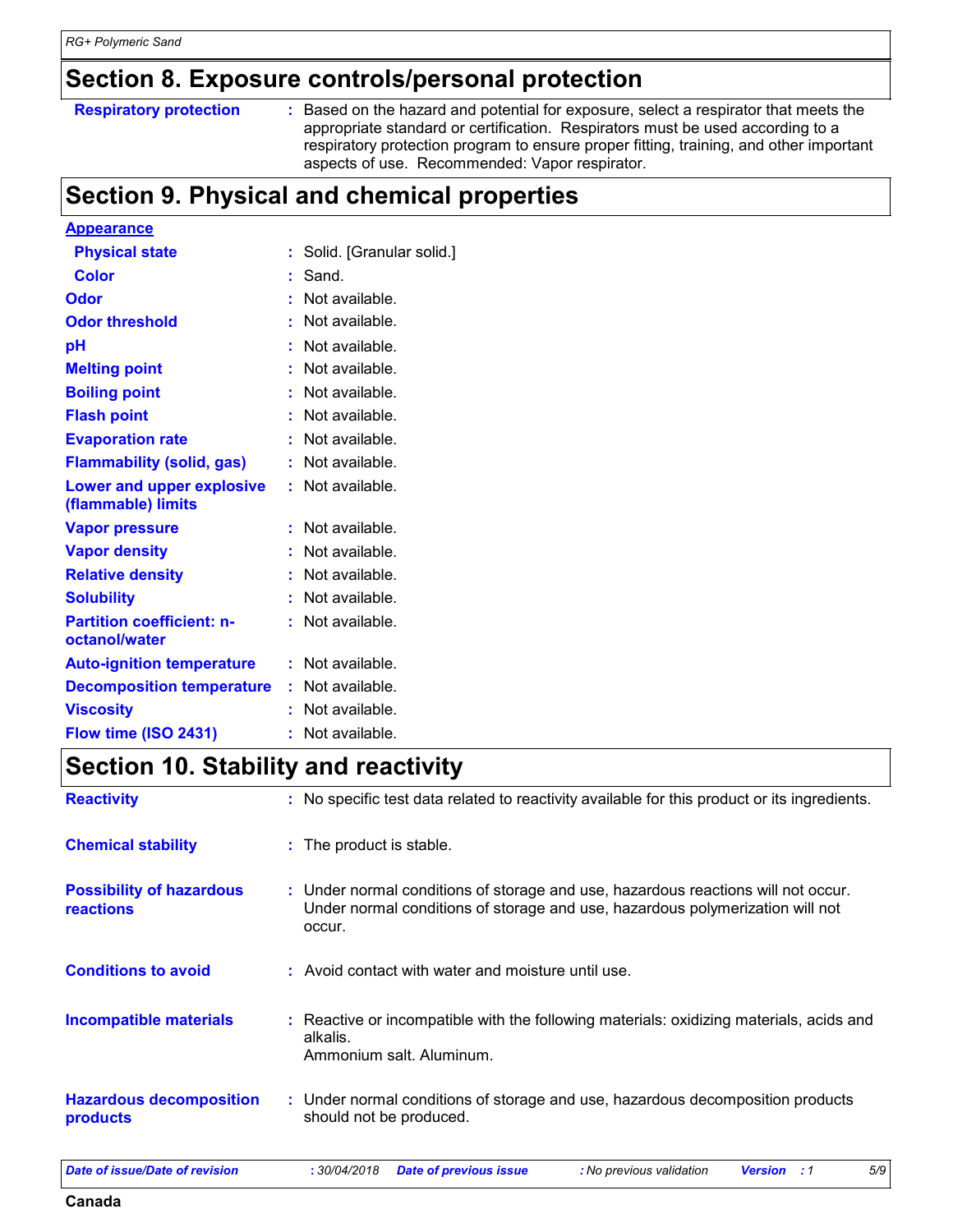### **Section 8. Exposure controls/personal protection**

| <b>Respiratory protection</b> | Based on the hazard and potential for exposure, select a respirator that meets the<br>appropriate standard or certification. Respirators must be used according to a<br>respiratory protection program to ensure proper fitting, training, and other important |
|-------------------------------|----------------------------------------------------------------------------------------------------------------------------------------------------------------------------------------------------------------------------------------------------------------|
|                               | aspects of use. Recommended: Vapor respirator.                                                                                                                                                                                                                 |

### **Section 9. Physical and chemical properties**

| <b>Appearance</b>                                      |    |                          |
|--------------------------------------------------------|----|--------------------------|
| <b>Physical state</b>                                  | ÷  | Solid. [Granular solid.] |
| <b>Color</b>                                           |    | Sand.                    |
| Odor                                                   |    | Not available.           |
| <b>Odor threshold</b>                                  | ŧ. | Not available.           |
| рH                                                     |    | Not available.           |
| <b>Melting point</b>                                   |    | Not available.           |
| <b>Boiling point</b>                                   |    | Not available.           |
| <b>Flash point</b>                                     |    | Not available.           |
| <b>Evaporation rate</b>                                |    | Not available.           |
| <b>Flammability (solid, gas)</b>                       |    | Not available.           |
| <b>Lower and upper explosive</b><br>(flammable) limits |    | Not available.           |
| <b>Vapor pressure</b>                                  |    | Not available.           |
| <b>Vapor density</b>                                   |    | Not available.           |
| <b>Relative density</b>                                |    | Not available.           |
| <b>Solubility</b>                                      |    | Not available.           |
| <b>Partition coefficient: n-</b><br>octanol/water      |    | Not available.           |
| <b>Auto-ignition temperature</b>                       | ÷. | Not available.           |
| <b>Decomposition temperature</b>                       |    | Not available.           |
| <b>Viscosity</b>                                       |    | Not available.           |
| Flow time (ISO 2431)                                   |    | Not available.           |

## **Section 10. Stability and reactivity**

| <b>Reactivity</b>                                   | : No specific test data related to reactivity available for this product or its ingredients.                                                                                 |
|-----------------------------------------------------|------------------------------------------------------------------------------------------------------------------------------------------------------------------------------|
| <b>Chemical stability</b>                           | : The product is stable.                                                                                                                                                     |
| <b>Possibility of hazardous</b><br><b>reactions</b> | : Under normal conditions of storage and use, hazardous reactions will not occur.<br>Under normal conditions of storage and use, hazardous polymerization will not<br>occur. |
| <b>Conditions to avoid</b>                          | : Avoid contact with water and moisture until use.                                                                                                                           |
| <b>Incompatible materials</b>                       | : Reactive or incompatible with the following materials: oxidizing materials, acids and<br>alkalis.<br>Ammonium salt. Aluminum.                                              |
| <b>Hazardous decomposition</b><br><b>products</b>   | : Under normal conditions of storage and use, hazardous decomposition products<br>should not be produced.                                                                    |

**Canada**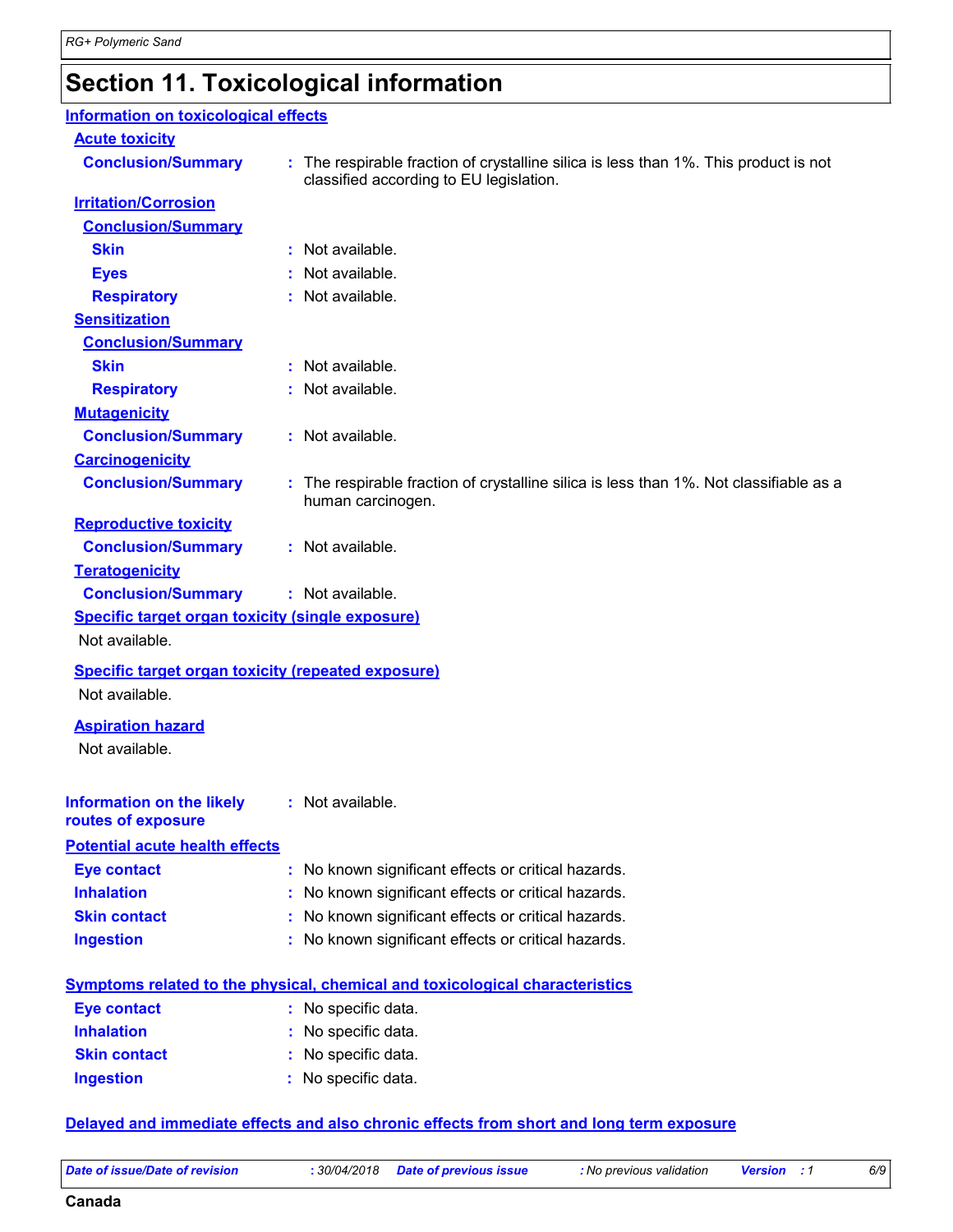### **Section 11. Toxicological information**

### **Acute toxicity Conclusion/Summary :** The respirable fraction of crystalline silica is less than 1%. This product is not classified according to EU legislation. **Carcinogenicity Conclusion/Summary :** The respirable fraction of crystalline silica is less than 1%. Not classifiable as a human carcinogen. **Mutagenicity Conclusion/Summary :** Not available. **Teratogenicity Conclusion/Summary :** Not available. **Reproductive toxicity Conclusion/Summary :** Not available. **Irritation/Corrosion Conclusion/Summary Skin :** Not available. **Eyes :** Not available. **Respiratory :** Not available. **Sensitization Conclusion/Summary Skin :** Not available. **Respiratory :** Not available. **Information on the likely routes of exposure Inhalation <b>:** No known significant effects or critical hazards. **Ingestion :** No known significant effects or critical hazards. **Skin contact :** No known significant effects or critical hazards. **Eye contact :** No known significant effects or critical hazards. **Symptoms related to the physical, chemical and toxicological characteristics Skin contact Ingestion Inhalation :** No specific data. No specific data. **:** No specific data. **: Eye contact :** No specific data. **Specific target organ toxicity (single exposure) Specific target organ toxicity (repeated exposure)** Not available. Not available. **Aspiration hazard** Not available. **Information on toxicological effects :** Not available. **Potential acute health effects**

#### **Delayed and immediate effects and also chronic effects from short and long term exposure**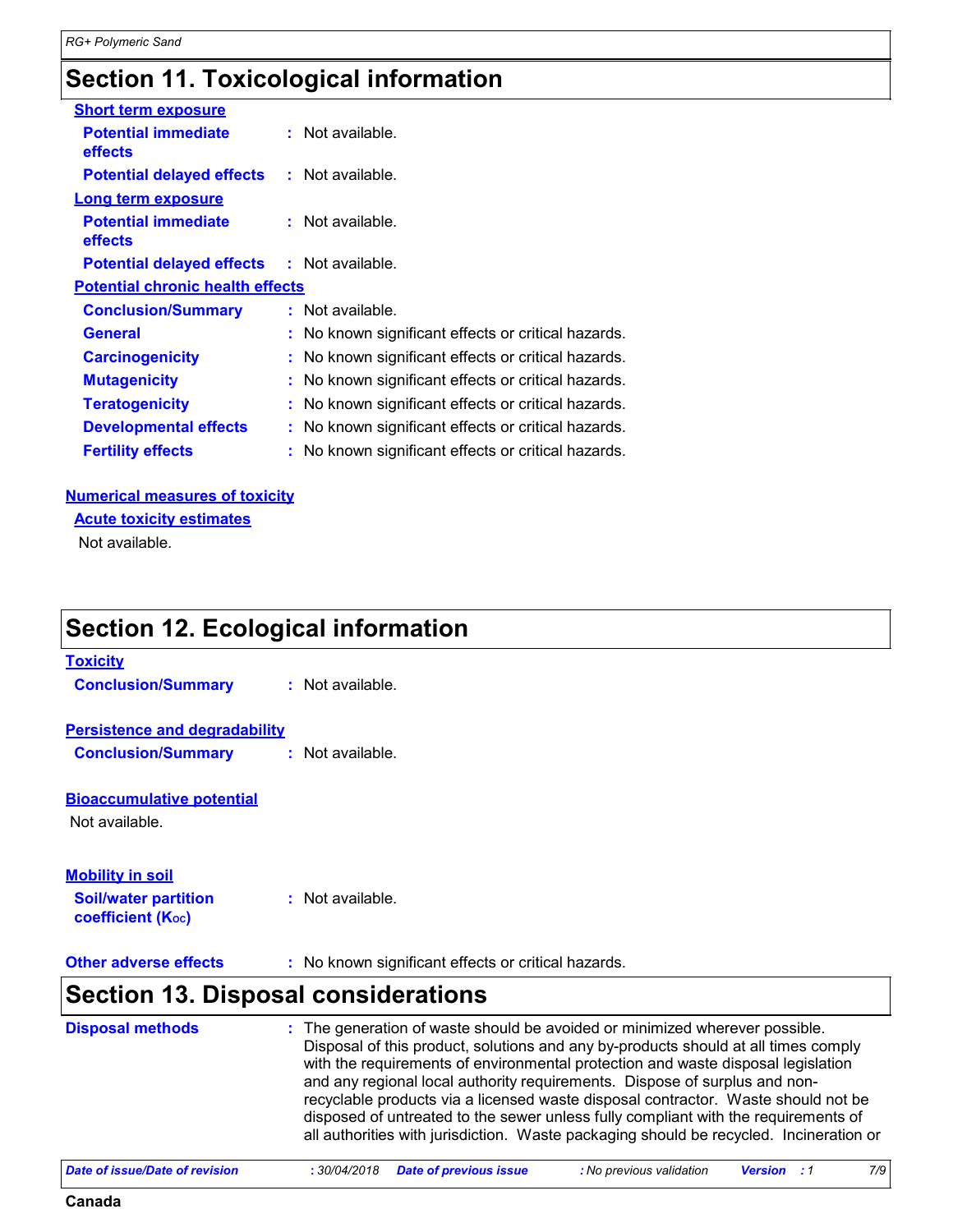### **Section 11. Toxicological information**

| <b>Short term exposure</b>                        |                                                     |
|---------------------------------------------------|-----------------------------------------------------|
| <b>Potential immediate</b><br>effects             | $:$ Not available.                                  |
| <b>Potential delayed effects : Not available.</b> |                                                     |
| <b>Long term exposure</b>                         |                                                     |
| <b>Potential immediate</b><br>effects             | $:$ Not available.                                  |
| <b>Potential delayed effects : Not available.</b> |                                                     |
| <b>Potential chronic health effects</b>           |                                                     |
| <b>Conclusion/Summary</b>                         | : Not available.                                    |
| <b>General</b>                                    | : No known significant effects or critical hazards. |
| <b>Carcinogenicity</b>                            | No known significant effects or critical hazards.   |
| <b>Mutagenicity</b>                               | No known significant effects or critical hazards.   |
| <b>Teratogenicity</b>                             | No known significant effects or critical hazards.   |
| <b>Developmental effects</b>                      | No known significant effects or critical hazards.   |
| <b>Fertility effects</b>                          | No known significant effects or critical hazards.   |

#### **Numerical measures of toxicity**

#### **Acute toxicity estimates**

Not available.

### **Section 12. Ecological information**

| <b>Toxicity</b>                      |                                                     |
|--------------------------------------|-----------------------------------------------------|
| <b>Conclusion/Summary</b>            | $:$ Not available.                                  |
|                                      |                                                     |
| <b>Persistence and degradability</b> |                                                     |
| <b>Conclusion/Summary</b>            | $:$ Not available.                                  |
|                                      |                                                     |
| <b>Bioaccumulative potential</b>     |                                                     |
| Not available.                       |                                                     |
|                                      |                                                     |
| <b>Mobility in soil</b>              |                                                     |
| <b>Soil/water partition</b>          | $:$ Not available.                                  |
| coefficient (Koc)                    |                                                     |
|                                      |                                                     |
| <b>Other adverse effects</b>         | : No known significant effects or critical hazards. |

### **Section 13. Disposal considerations**

| <b>Disposal methods</b> | : The generation of waste should be avoided or minimized wherever possible.<br>Disposal of this product, solutions and any by-products should at all times comply<br>with the requirements of environmental protection and waste disposal legislation<br>and any regional local authority requirements. Dispose of surplus and non-<br>recyclable products via a licensed waste disposal contractor. Waste should not be<br>disposed of untreated to the sewer unless fully compliant with the requirements of |
|-------------------------|----------------------------------------------------------------------------------------------------------------------------------------------------------------------------------------------------------------------------------------------------------------------------------------------------------------------------------------------------------------------------------------------------------------------------------------------------------------------------------------------------------------|
|                         | all authorities with jurisdiction. Waste packaging should be recycled. Incineration or                                                                                                                                                                                                                                                                                                                                                                                                                         |

| Date of issue/Date of revision |  |  | : No previous validation | <b>Version</b> : 1 |  |  |  |
|--------------------------------|--|--|--------------------------|--------------------|--|--|--|
|--------------------------------|--|--|--------------------------|--------------------|--|--|--|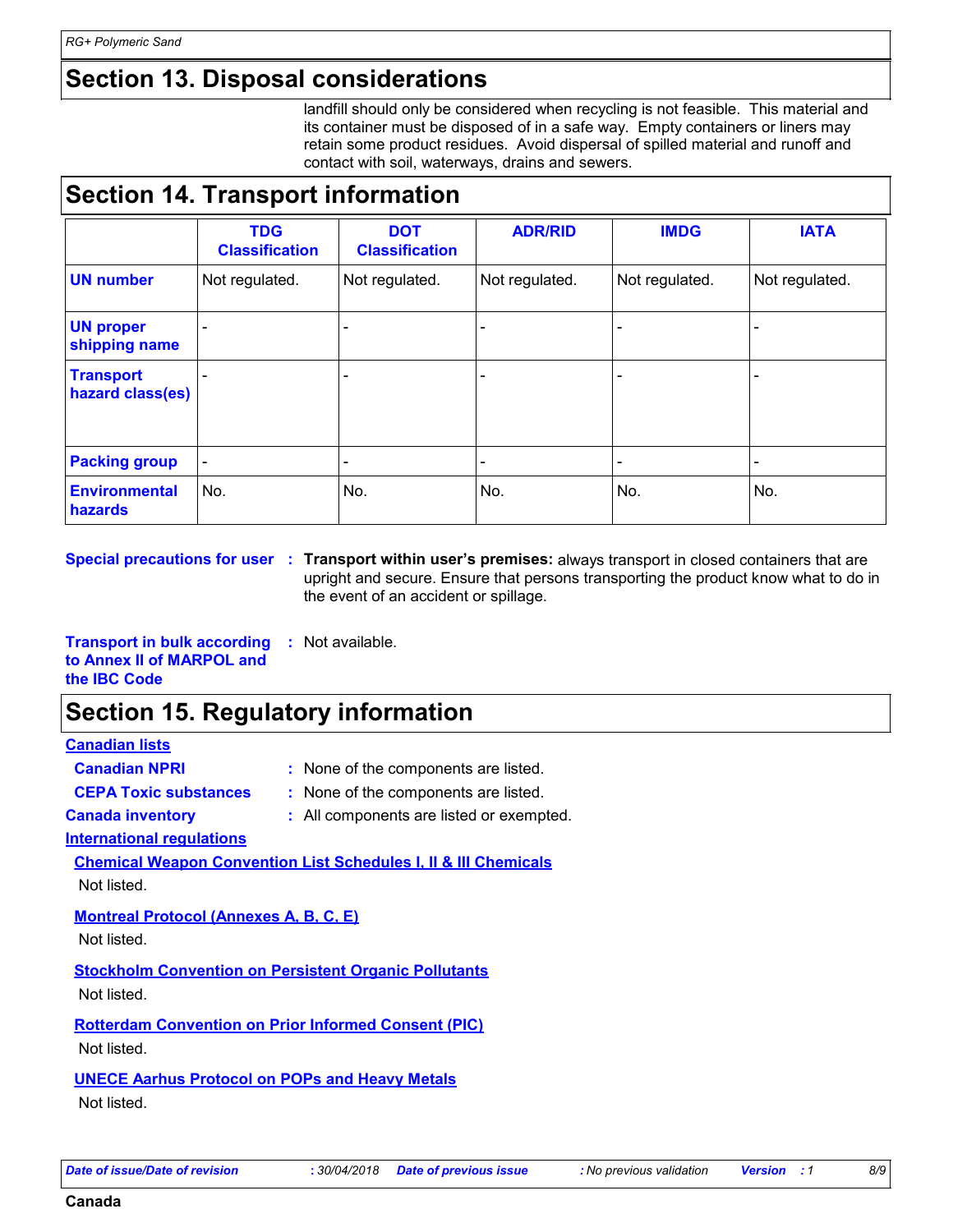### **Section 13. Disposal considerations**

landfill should only be considered when recycling is not feasible. This material and its container must be disposed of in a safe way. Empty containers or liners may retain some product residues. Avoid dispersal of spilled material and runoff and contact with soil, waterways, drains and sewers.

### **Section 14. Transport information**

|                                      | <b>TDG</b><br><b>Classification</b> | <b>DOT</b><br><b>Classification</b> | <b>ADR/RID</b> | <b>IMDG</b>    | <b>IATA</b>    |
|--------------------------------------|-------------------------------------|-------------------------------------|----------------|----------------|----------------|
| <b>UN number</b>                     | Not regulated.                      | Not regulated.                      | Not regulated. | Not regulated. | Not regulated. |
| <b>UN proper</b><br>shipping name    |                                     |                                     |                |                |                |
| <b>Transport</b><br>hazard class(es) |                                     | $\overline{\phantom{a}}$            |                |                |                |
| <b>Packing group</b>                 | $\overline{\phantom{a}}$            | $\overline{\phantom{a}}$            |                |                |                |
| <b>Environmental</b><br>hazards      | No.                                 | No.                                 | No.            | No.            | No.            |

**Special precautions for user Transport within user's premises:** always transport in closed containers that are **:** upright and secure. Ensure that persons transporting the product know what to do in the event of an accident or spillage.

**Transport in bulk according :** Not available. **to Annex II of MARPOL and the IBC Code**

### **Section 15. Regulatory information**

#### **Canadian lists**

- **Canadian NPRI :** None of the components are listed.
- 
- **CEPA Toxic substances :** None of the components are listed.
- 
- **Canada inventory :** All components are listed or exempted.

#### **International regulations**

**Chemical Weapon Convention List Schedules I, II & III Chemicals** Not listed.

#### **Montreal Protocol (Annexes A, B, C, E)**

Not listed.

**Stockholm Convention on Persistent Organic Pollutants**

Not listed.

**Rotterdam Convention on Prior Informed Consent (PIC)** Not listed.

#### **UNECE Aarhus Protocol on POPs and Heavy Metals**

Not listed.